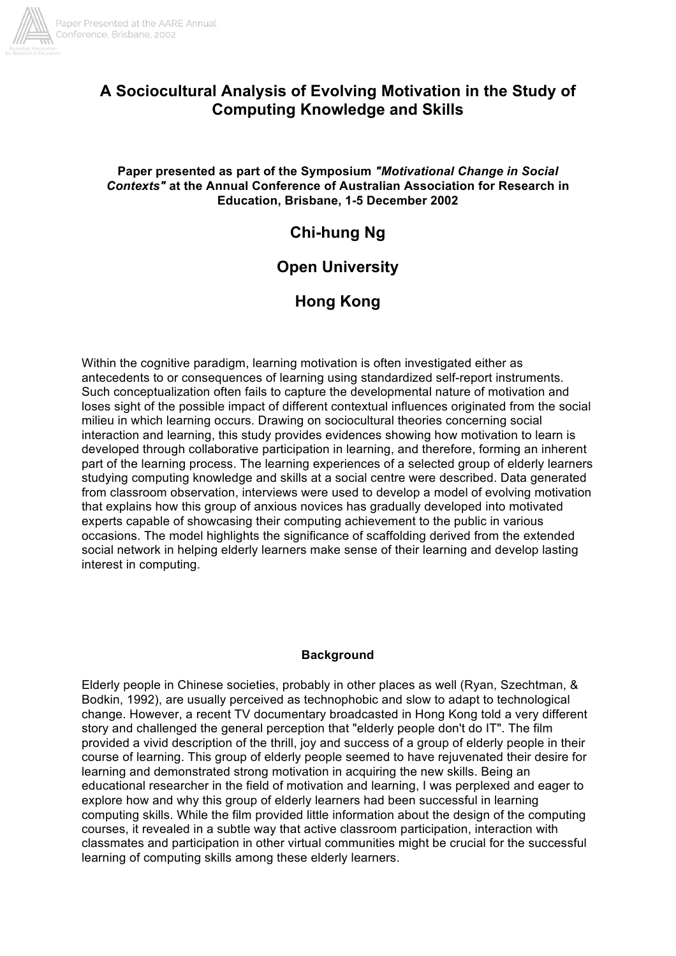

# **A Sociocultural Analysis of Evolving Motivation in the Study of Computing Knowledge and Skills**

## **Paper presented as part of the Symposium** *"Motivational Change in Social Contexts"* **at the Annual Conference of Australian Association for Research in Education, Brisbane, 1-5 December 2002**

# **Chi-hung Ng**

# **Open University**

# **Hong Kong**

Within the cognitive paradigm, learning motivation is often investigated either as antecedents to or consequences of learning using standardized self-report instruments. Such conceptualization often fails to capture the developmental nature of motivation and loses sight of the possible impact of different contextual influences originated from the social milieu in which learning occurs. Drawing on sociocultural theories concerning social interaction and learning, this study provides evidences showing how motivation to learn is developed through collaborative participation in learning, and therefore, forming an inherent part of the learning process. The learning experiences of a selected group of elderly learners studying computing knowledge and skills at a social centre were described. Data generated from classroom observation, interviews were used to develop a model of evolving motivation that explains how this group of anxious novices has gradually developed into motivated experts capable of showcasing their computing achievement to the public in various occasions. The model highlights the significance of scaffolding derived from the extended social network in helping elderly learners make sense of their learning and develop lasting interest in computing.

## **Background**

Elderly people in Chinese societies, probably in other places as well (Ryan, Szechtman, & Bodkin, 1992), are usually perceived as technophobic and slow to adapt to technological change. However, a recent TV documentary broadcasted in Hong Kong told a very different story and challenged the general perception that "elderly people don't do IT". The film provided a vivid description of the thrill, joy and success of a group of elderly people in their course of learning. This group of elderly people seemed to have rejuvenated their desire for learning and demonstrated strong motivation in acquiring the new skills. Being an educational researcher in the field of motivation and learning, I was perplexed and eager to explore how and why this group of elderly learners had been successful in learning computing skills. While the film provided little information about the design of the computing courses, it revealed in a subtle way that active classroom participation, interaction with classmates and participation in other virtual communities might be crucial for the successful learning of computing skills among these elderly learners.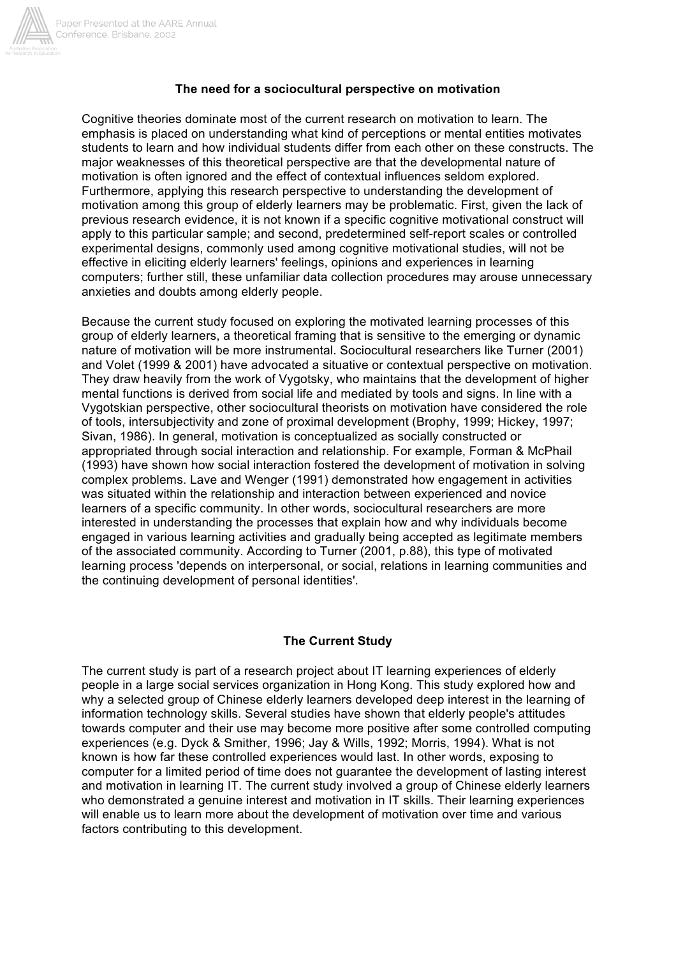

#### **The need for a sociocultural perspective on motivation**

Cognitive theories dominate most of the current research on motivation to learn. The emphasis is placed on understanding what kind of perceptions or mental entities motivates students to learn and how individual students differ from each other on these constructs. The major weaknesses of this theoretical perspective are that the developmental nature of motivation is often ignored and the effect of contextual influences seldom explored. Furthermore, applying this research perspective to understanding the development of motivation among this group of elderly learners may be problematic. First, given the lack of previous research evidence, it is not known if a specific cognitive motivational construct will apply to this particular sample; and second, predetermined self-report scales or controlled experimental designs, commonly used among cognitive motivational studies, will not be effective in eliciting elderly learners' feelings, opinions and experiences in learning computers; further still, these unfamiliar data collection procedures may arouse unnecessary anxieties and doubts among elderly people.

Because the current study focused on exploring the motivated learning processes of this group of elderly learners, a theoretical framing that is sensitive to the emerging or dynamic nature of motivation will be more instrumental. Sociocultural researchers like Turner (2001) and Volet (1999 & 2001) have advocated a situative or contextual perspective on motivation. They draw heavily from the work of Vygotsky, who maintains that the development of higher mental functions is derived from social life and mediated by tools and signs. In line with a Vygotskian perspective, other sociocultural theorists on motivation have considered the role of tools, intersubjectivity and zone of proximal development (Brophy, 1999; Hickey, 1997; Sivan, 1986). In general, motivation is conceptualized as socially constructed or appropriated through social interaction and relationship. For example, Forman & McPhail (1993) have shown how social interaction fostered the development of motivation in solving complex problems. Lave and Wenger (1991) demonstrated how engagement in activities was situated within the relationship and interaction between experienced and novice learners of a specific community. In other words, sociocultural researchers are more interested in understanding the processes that explain how and why individuals become engaged in various learning activities and gradually being accepted as legitimate members of the associated community. According to Turner (2001, p.88), this type of motivated learning process 'depends on interpersonal, or social, relations in learning communities and the continuing development of personal identities'.

## **The Current Study**

The current study is part of a research project about IT learning experiences of elderly people in a large social services organization in Hong Kong. This study explored how and why a selected group of Chinese elderly learners developed deep interest in the learning of information technology skills. Several studies have shown that elderly people's attitudes towards computer and their use may become more positive after some controlled computing experiences (e.g. Dyck & Smither, 1996; Jay & Wills, 1992; Morris, 1994). What is not known is how far these controlled experiences would last. In other words, exposing to computer for a limited period of time does not guarantee the development of lasting interest and motivation in learning IT. The current study involved a group of Chinese elderly learners who demonstrated a genuine interest and motivation in IT skills. Their learning experiences will enable us to learn more about the development of motivation over time and various factors contributing to this development.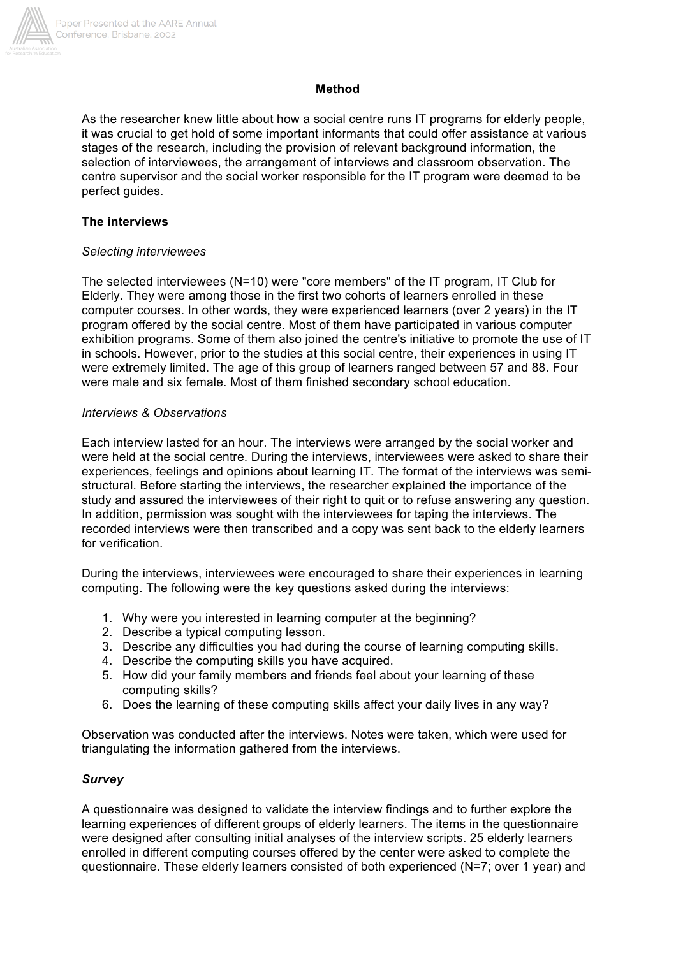

#### **Method**

As the researcher knew little about how a social centre runs IT programs for elderly people, it was crucial to get hold of some important informants that could offer assistance at various stages of the research, including the provision of relevant background information, the selection of interviewees, the arrangement of interviews and classroom observation. The centre supervisor and the social worker responsible for the IT program were deemed to be perfect quides.

#### **The interviews**

#### *Selecting interviewees*

The selected interviewees (N=10) were "core members" of the IT program, IT Club for Elderly. They were among those in the first two cohorts of learners enrolled in these computer courses. In other words, they were experienced learners (over 2 years) in the IT program offered by the social centre. Most of them have participated in various computer exhibition programs. Some of them also joined the centre's initiative to promote the use of IT in schools. However, prior to the studies at this social centre, their experiences in using IT were extremely limited. The age of this group of learners ranged between 57 and 88. Four were male and six female. Most of them finished secondary school education.

#### *Interviews & Observations*

Each interview lasted for an hour. The interviews were arranged by the social worker and were held at the social centre. During the interviews, interviewees were asked to share their experiences, feelings and opinions about learning IT. The format of the interviews was semistructural. Before starting the interviews, the researcher explained the importance of the study and assured the interviewees of their right to quit or to refuse answering any question. In addition, permission was sought with the interviewees for taping the interviews. The recorded interviews were then transcribed and a copy was sent back to the elderly learners for verification.

During the interviews, interviewees were encouraged to share their experiences in learning computing. The following were the key questions asked during the interviews:

- 1. Why were you interested in learning computer at the beginning?
- 2. Describe a typical computing lesson.
- 3. Describe any difficulties you had during the course of learning computing skills.
- 4. Describe the computing skills you have acquired.
- 5. How did your family members and friends feel about your learning of these computing skills?
- 6. Does the learning of these computing skills affect your daily lives in any way?

Observation was conducted after the interviews. Notes were taken, which were used for triangulating the information gathered from the interviews.

## *Survey*

A questionnaire was designed to validate the interview findings and to further explore the learning experiences of different groups of elderly learners. The items in the questionnaire were designed after consulting initial analyses of the interview scripts. 25 elderly learners enrolled in different computing courses offered by the center were asked to complete the questionnaire. These elderly learners consisted of both experienced (N=7; over 1 year) and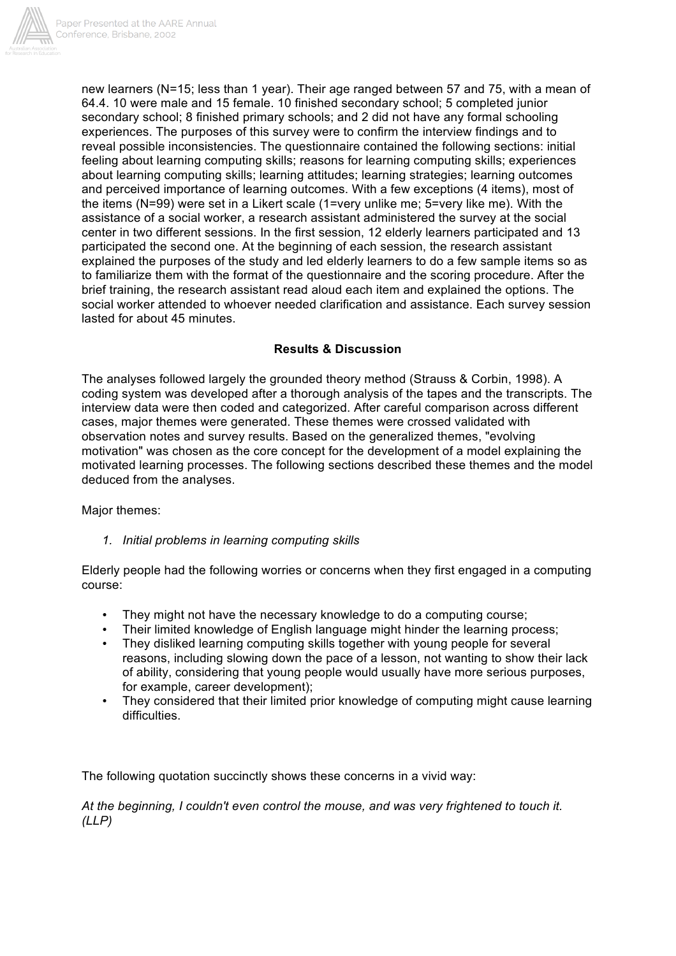

new learners (N=15; less than 1 year). Their age ranged between 57 and 75, with a mean of 64.4. 10 were male and 15 female. 10 finished secondary school; 5 completed junior secondary school; 8 finished primary schools; and 2 did not have any formal schooling experiences. The purposes of this survey were to confirm the interview findings and to reveal possible inconsistencies. The questionnaire contained the following sections: initial feeling about learning computing skills; reasons for learning computing skills; experiences about learning computing skills; learning attitudes; learning strategies; learning outcomes and perceived importance of learning outcomes. With a few exceptions (4 items), most of the items (N=99) were set in a Likert scale (1=very unlike me; 5=very like me). With the assistance of a social worker, a research assistant administered the survey at the social center in two different sessions. In the first session, 12 elderly learners participated and 13 participated the second one. At the beginning of each session, the research assistant explained the purposes of the study and led elderly learners to do a few sample items so as to familiarize them with the format of the questionnaire and the scoring procedure. After the brief training, the research assistant read aloud each item and explained the options. The social worker attended to whoever needed clarification and assistance. Each survey session lasted for about 45 minutes.

# **Results & Discussion**

The analyses followed largely the grounded theory method (Strauss & Corbin, 1998). A coding system was developed after a thorough analysis of the tapes and the transcripts. The interview data were then coded and categorized. After careful comparison across different cases, major themes were generated. These themes were crossed validated with observation notes and survey results. Based on the generalized themes, "evolving motivation" was chosen as the core concept for the development of a model explaining the motivated learning processes. The following sections described these themes and the model deduced from the analyses.

Major themes:

## *1. Initial problems in learning computing skills*

Elderly people had the following worries or concerns when they first engaged in a computing course:

- They might not have the necessary knowledge to do a computing course;
- Their limited knowledge of English language might hinder the learning process;<br>• They disliked learning computing skills together with young people for several
- They disliked learning computing skills together with young people for several reasons, including slowing down the pace of a lesson, not wanting to show their lack of ability, considering that young people would usually have more serious purposes, for example, career development);
- They considered that their limited prior knowledge of computing might cause learning difficulties.

The following quotation succinctly shows these concerns in a vivid way:

*At the beginning, I couldn't even control the mouse, and was very frightened to touch it. (LLP)*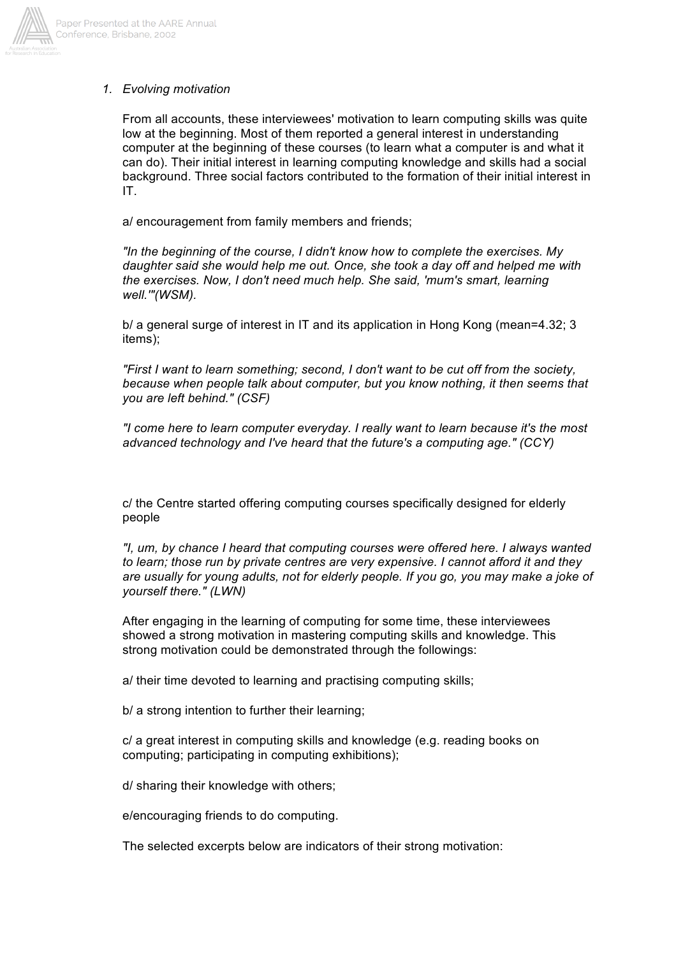

#### *1. Evolving motivation*

From all accounts, these interviewees' motivation to learn computing skills was quite low at the beginning. Most of them reported a general interest in understanding computer at the beginning of these courses (to learn what a computer is and what it can do). Their initial interest in learning computing knowledge and skills had a social background. Three social factors contributed to the formation of their initial interest in IT.

a/ encouragement from family members and friends;

*"In the beginning of the course, I didn't know how to complete the exercises. My daughter said she would help me out. Once, she took a day off and helped me with the exercises. Now, I don't need much help. She said, 'mum's smart, learning well.'"(WSM).*

b/ a general surge of interest in IT and its application in Hong Kong (mean=4.32; 3 items);

*"First I want to learn something; second, I don't want to be cut off from the society, because when people talk about computer, but you know nothing, it then seems that you are left behind." (CSF)*

*"I come here to learn computer everyday. I really want to learn because it's the most advanced technology and I've heard that the future's a computing age." (CCY)*

c/ the Centre started offering computing courses specifically designed for elderly people

*"I, um, by chance I heard that computing courses were offered here. I always wanted to learn; those run by private centres are very expensive. I cannot afford it and they are usually for young adults, not for elderly people. If you go, you may make a joke of yourself there." (LWN)*

After engaging in the learning of computing for some time, these interviewees showed a strong motivation in mastering computing skills and knowledge. This strong motivation could be demonstrated through the followings:

a/ their time devoted to learning and practising computing skills;

b/ a strong intention to further their learning;

c/ a great interest in computing skills and knowledge (e.g. reading books on computing; participating in computing exhibitions);

d/ sharing their knowledge with others;

e/encouraging friends to do computing.

The selected excerpts below are indicators of their strong motivation: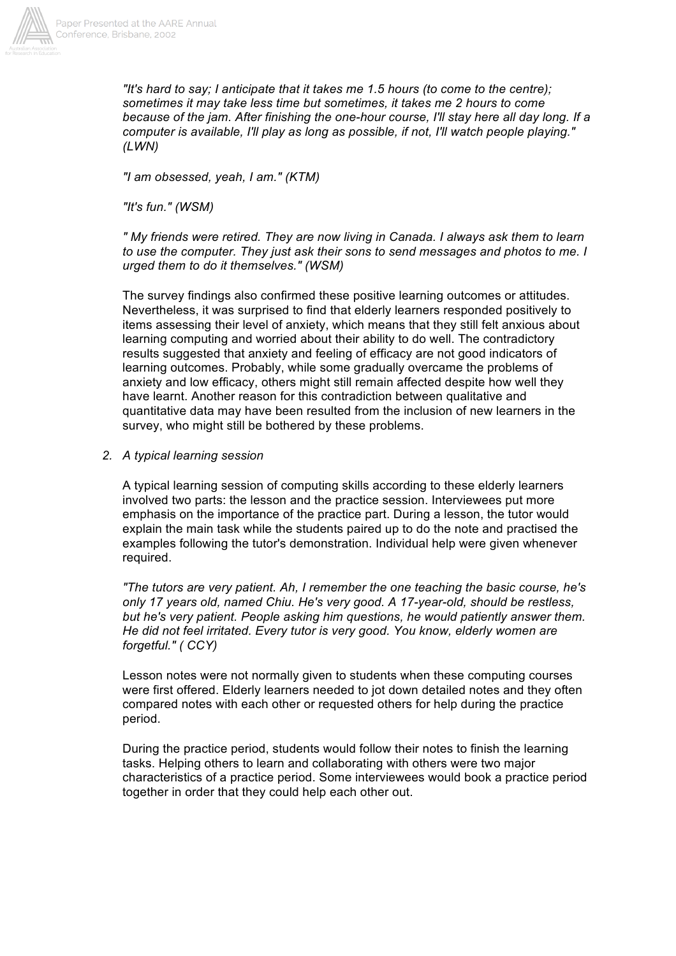

*"It's hard to say; I anticipate that it takes me 1.5 hours (to come to the centre); sometimes it may take less time but sometimes, it takes me 2 hours to come because of the jam. After finishing the one-hour course, I'll stay here all day long. If a computer is available, I'll play as long as possible, if not, I'll watch people playing." (LWN)*

*"I am obsessed, yeah, I am." (KTM)*

*"It's fun." (WSM)*

*" My friends were retired. They are now living in Canada. I always ask them to learn to use the computer. They just ask their sons to send messages and photos to me. I urged them to do it themselves." (WSM)*

The survey findings also confirmed these positive learning outcomes or attitudes. Nevertheless, it was surprised to find that elderly learners responded positively to items assessing their level of anxiety, which means that they still felt anxious about learning computing and worried about their ability to do well. The contradictory results suggested that anxiety and feeling of efficacy are not good indicators of learning outcomes. Probably, while some gradually overcame the problems of anxiety and low efficacy, others might still remain affected despite how well they have learnt. Another reason for this contradiction between qualitative and quantitative data may have been resulted from the inclusion of new learners in the survey, who might still be bothered by these problems.

#### *2. A typical learning session*

A typical learning session of computing skills according to these elderly learners involved two parts: the lesson and the practice session. Interviewees put more emphasis on the importance of the practice part. During a lesson, the tutor would explain the main task while the students paired up to do the note and practised the examples following the tutor's demonstration. Individual help were given whenever required.

*"The tutors are very patient. Ah, I remember the one teaching the basic course, he's only 17 years old, named Chiu. He's very good. A 17-year-old, should be restless, but he's very patient. People asking him questions, he would patiently answer them. He did not feel irritated. Every tutor is very good. You know, elderly women are forgetful." ( CCY)*

Lesson notes were not normally given to students when these computing courses were first offered. Elderly learners needed to jot down detailed notes and they often compared notes with each other or requested others for help during the practice period.

During the practice period, students would follow their notes to finish the learning tasks. Helping others to learn and collaborating with others were two major characteristics of a practice period. Some interviewees would book a practice period together in order that they could help each other out.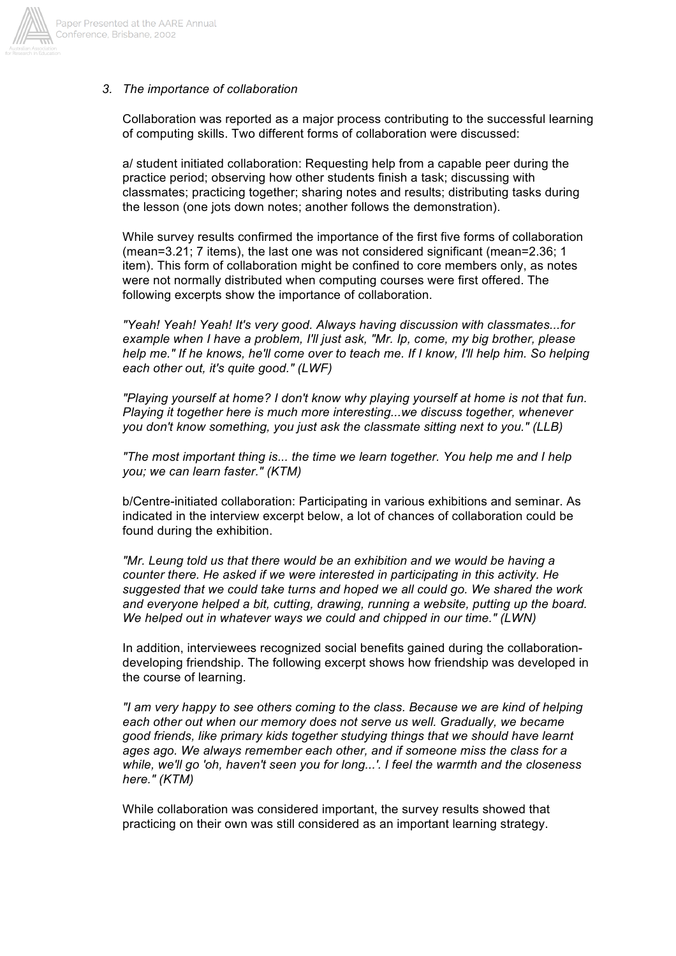

# *3. The importance of collaboration*

Collaboration was reported as a major process contributing to the successful learning of computing skills. Two different forms of collaboration were discussed:

a/ student initiated collaboration: Requesting help from a capable peer during the practice period; observing how other students finish a task; discussing with classmates; practicing together; sharing notes and results; distributing tasks during the lesson (one jots down notes; another follows the demonstration).

While survey results confirmed the importance of the first five forms of collaboration (mean=3.21; 7 items), the last one was not considered significant (mean=2.36; 1 item). This form of collaboration might be confined to core members only, as notes were not normally distributed when computing courses were first offered. The following excerpts show the importance of collaboration.

*"Yeah! Yeah! Yeah! It's very good. Always having discussion with classmates...for example when I have a problem, I'll just ask, "Mr. Ip, come, my big brother, please help me." If he knows, he'll come over to teach me. If I know, I'll help him. So helping each other out, it's quite good." (LWF)*

*"Playing yourself at home? I don't know why playing yourself at home is not that fun. Playing it together here is much more interesting...we discuss together, whenever you don't know something, you just ask the classmate sitting next to you." (LLB)*

*"The most important thing is... the time we learn together. You help me and I help you; we can learn faster." (KTM)*

b/Centre-initiated collaboration: Participating in various exhibitions and seminar. As indicated in the interview excerpt below, a lot of chances of collaboration could be found during the exhibition.

*"Mr. Leung told us that there would be an exhibition and we would be having a counter there. He asked if we were interested in participating in this activity. He suggested that we could take turns and hoped we all could go. We shared the work and everyone helped a bit, cutting, drawing, running a website, putting up the board. We helped out in whatever ways we could and chipped in our time." (LWN)*

In addition, interviewees recognized social benefits gained during the collaborationdeveloping friendship. The following excerpt shows how friendship was developed in the course of learning.

*"I am very happy to see others coming to the class. Because we are kind of helping each other out when our memory does not serve us well. Gradually, we became good friends, like primary kids together studying things that we should have learnt ages ago. We always remember each other, and if someone miss the class for a while, we'll go 'oh, haven't seen you for long...'. I feel the warmth and the closeness here." (KTM)*

While collaboration was considered important, the survey results showed that practicing on their own was still considered as an important learning strategy.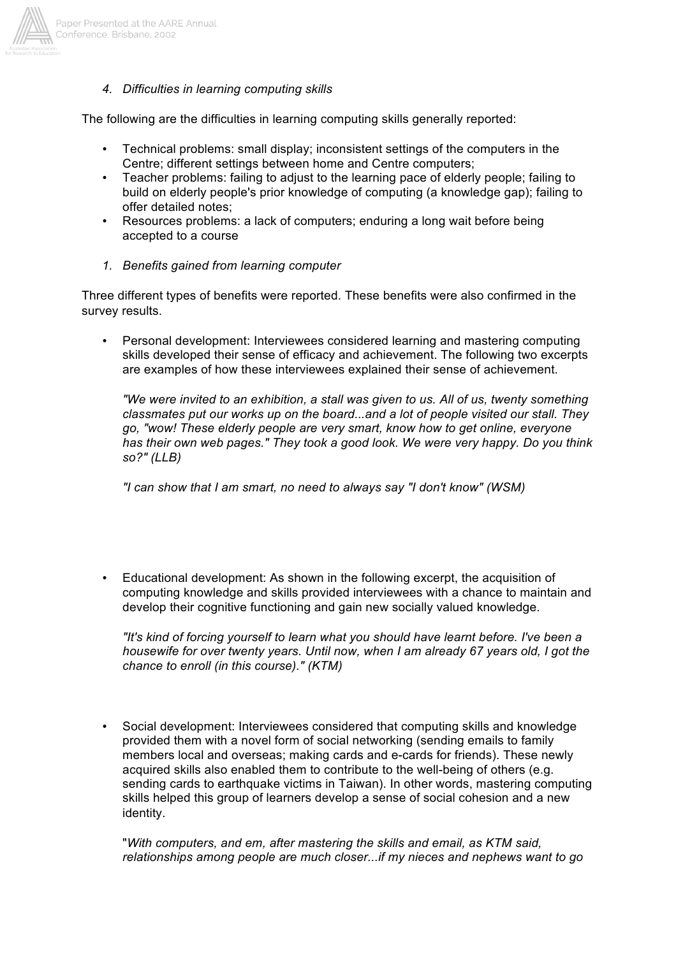

*4. Difficulties in learning computing skills*

The following are the difficulties in learning computing skills generally reported:

- Technical problems: small display; inconsistent settings of the computers in the Centre; different settings between home and Centre computers;
- Teacher problems: failing to adjust to the learning pace of elderly people; failing to build on elderly people's prior knowledge of computing (a knowledge gap); failing to offer detailed notes;
- Resources problems: a lack of computers; enduring a long wait before being accepted to a course
- *1. Benefits gained from learning computer*

Three different types of benefits were reported. These benefits were also confirmed in the survey results.

• Personal development: Interviewees considered learning and mastering computing skills developed their sense of efficacy and achievement. The following two excerpts are examples of how these interviewees explained their sense of achievement.

*"We were invited to an exhibition, a stall was given to us. All of us, twenty something classmates put our works up on the board...and a lot of people visited our stall. They go, "wow! These elderly people are very smart, know how to get online, everyone has their own web pages." They took a good look. We were very happy. Do you think so?" (LLB)*

*"I can show that I am smart, no need to always say "I don't know" (WSM)*

• Educational development: As shown in the following excerpt, the acquisition of computing knowledge and skills provided interviewees with a chance to maintain and develop their cognitive functioning and gain new socially valued knowledge.

*"It's kind of forcing yourself to learn what you should have learnt before. I've been a housewife for over twenty years. Until now, when I am already 67 years old, I got the chance to enroll (in this course)." (KTM)*

• Social development: Interviewees considered that computing skills and knowledge provided them with a novel form of social networking (sending emails to family members local and overseas; making cards and e-cards for friends). These newly acquired skills also enabled them to contribute to the well-being of others (e.g. sending cards to earthquake victims in Taiwan). In other words, mastering computing skills helped this group of learners develop a sense of social cohesion and a new identity.

"*With computers, and em, after mastering the skills and email, as KTM said, relationships among people are much closer...if my nieces and nephews want to go*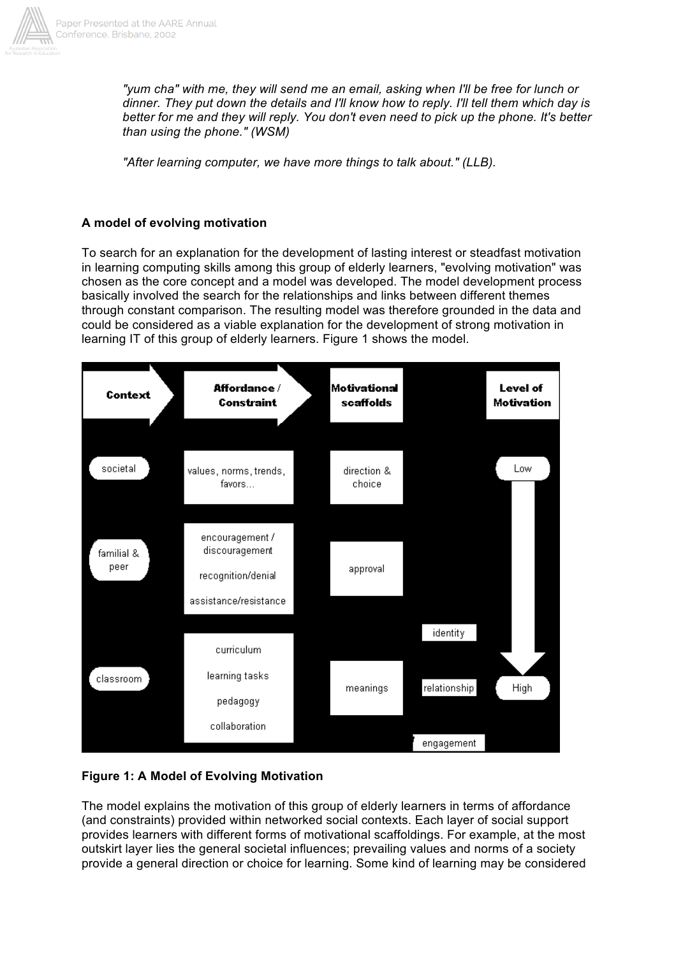

*"yum cha" with me, they will send me an email, asking when I'll be free for lunch or dinner. They put down the details and I'll know how to reply. I'll tell them which day is better for me and they will reply. You don't even need to pick up the phone. It's better than using the phone." (WSM)*

*"After learning computer, we have more things to talk about." (LLB).*

# **A model of evolving motivation**

To search for an explanation for the development of lasting interest or steadfast motivation in learning computing skills among this group of elderly learners, "evolving motivation" was chosen as the core concept and a model was developed. The model development process basically involved the search for the relationships and links between different themes through constant comparison. The resulting model was therefore grounded in the data and could be considered as a viable explanation for the development of strong motivation in learning IT of this group of elderly learners. Figure 1 shows the model.



# **Figure 1: A Model of Evolving Motivation**

The model explains the motivation of this group of elderly learners in terms of affordance (and constraints) provided within networked social contexts. Each layer of social support provides learners with different forms of motivational scaffoldings. For example, at the most outskirt layer lies the general societal influences; prevailing values and norms of a society provide a general direction or choice for learning. Some kind of learning may be considered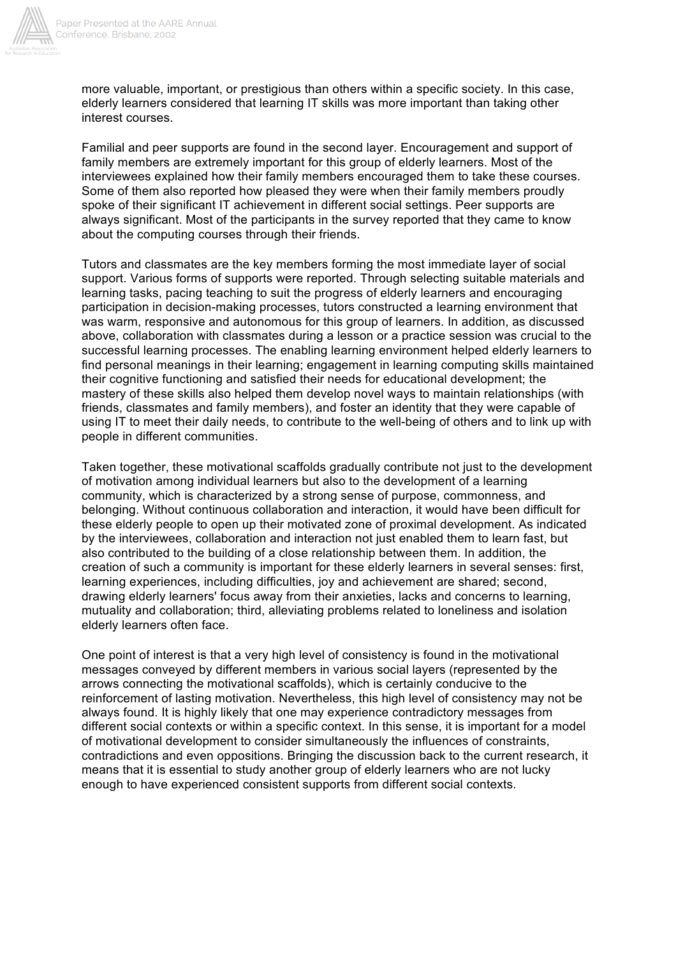

more valuable, important, or prestigious than others within a specific society. In this case, elderly learners considered that learning IT skills was more important than taking other interest courses.

Familial and peer supports are found in the second layer. Encouragement and support of family members are extremely important for this group of elderly learners. Most of the interviewees explained how their family members encouraged them to take these courses. Some of them also reported how pleased they were when their family members proudly spoke of their significant IT achievement in different social settings. Peer supports are always significant. Most of the participants in the survey reported that they came to know about the computing courses through their friends.

Tutors and classmates are the key members forming the most immediate layer of social support. Various forms of supports were reported. Through selecting suitable materials and learning tasks, pacing teaching to suit the progress of elderly learners and encouraging participation in decision-making processes, tutors constructed a learning environment that was warm, responsive and autonomous for this group of learners. In addition, as discussed above, collaboration with classmates during a lesson or a practice session was crucial to the successful learning processes. The enabling learning environment helped elderly learners to find personal meanings in their learning; engagement in learning computing skills maintained their cognitive functioning and satisfied their needs for educational development; the mastery of these skills also helped them develop novel ways to maintain relationships (with friends, classmates and family members), and foster an identity that they were capable of using IT to meet their daily needs, to contribute to the well-being of others and to link up with people in different communities.

Taken together, these motivational scaffolds gradually contribute not just to the development of motivation among individual learners but also to the development of a learning community, which is characterized by a strong sense of purpose, commonness, and belonging. Without continuous collaboration and interaction, it would have been difficult for these elderly people to open up their motivated zone of proximal development. As indicated by the interviewees, collaboration and interaction not just enabled them to learn fast, but also contributed to the building of a close relationship between them. In addition, the creation of such a community is important for these elderly learners in several senses: first, learning experiences, including difficulties, joy and achievement are shared; second, drawing elderly learners' focus away from their anxieties, lacks and concerns to learning, mutuality and collaboration; third, alleviating problems related to loneliness and isolation elderly learners often face.

One point of interest is that a very high level of consistency is found in the motivational messages conveyed by different members in various social layers (represented by the arrows connecting the motivational scaffolds), which is certainly conducive to the reinforcement of lasting motivation. Nevertheless, this high level of consistency may not be always found. It is highly likely that one may experience contradictory messages from different social contexts or within a specific context. In this sense, it is important for a model of motivational development to consider simultaneously the influences of constraints, contradictions and even oppositions. Bringing the discussion back to the current research, it means that it is essential to study another group of elderly learners who are not lucky enough to have experienced consistent supports from different social contexts.